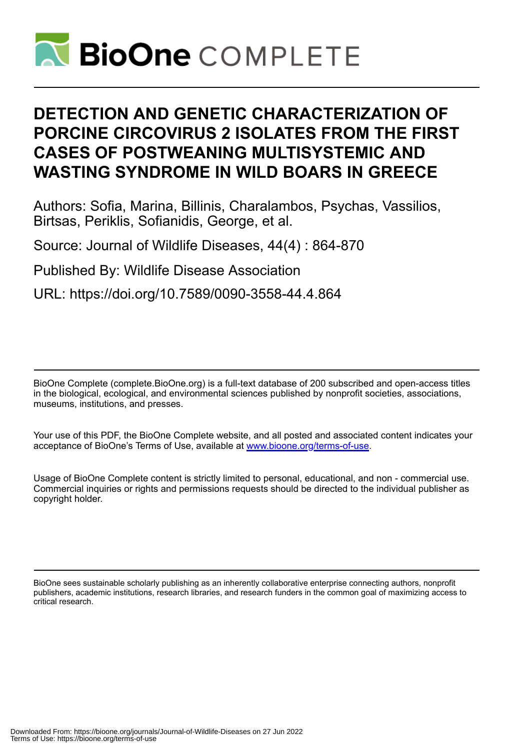

# **DETECTION AND GENETIC CHARACTERIZATION OF PORCINE CIRCOVIRUS 2 ISOLATES FROM THE FIRST CASES OF POSTWEANING MULTISYSTEMIC AND WASTING SYNDROME IN WILD BOARS IN GREECE**

Authors: Sofia, Marina, Billinis, Charalambos, Psychas, Vassilios, Birtsas, Periklis, Sofianidis, George, et al.

Source: Journal of Wildlife Diseases, 44(4) : 864-870

Published By: Wildlife Disease Association

URL: https://doi.org/10.7589/0090-3558-44.4.864

BioOne Complete (complete.BioOne.org) is a full-text database of 200 subscribed and open-access titles in the biological, ecological, and environmental sciences published by nonprofit societies, associations, museums, institutions, and presses.

Your use of this PDF, the BioOne Complete website, and all posted and associated content indicates your acceptance of BioOne's Terms of Use, available at www.bioone.org/terms-of-use.

Usage of BioOne Complete content is strictly limited to personal, educational, and non - commercial use. Commercial inquiries or rights and permissions requests should be directed to the individual publisher as copyright holder.

BioOne sees sustainable scholarly publishing as an inherently collaborative enterprise connecting authors, nonprofit publishers, academic institutions, research libraries, and research funders in the common goal of maximizing access to critical research.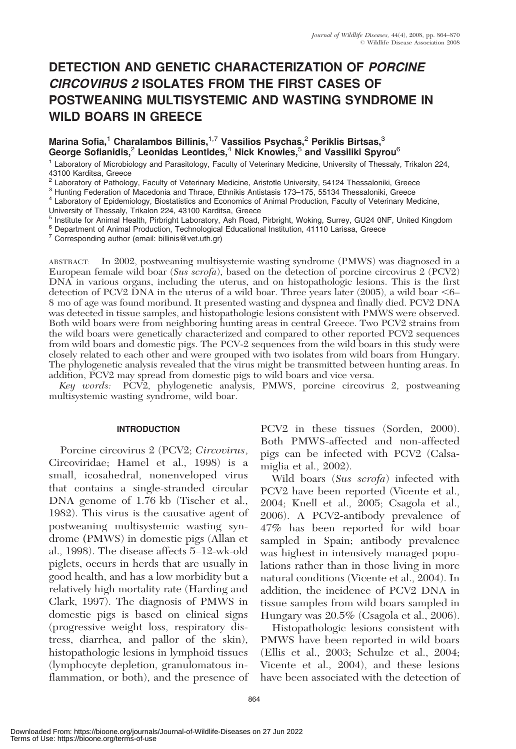# DETECTION AND GENETIC CHARACTERIZATION OF PORCINE CIRCOVIRUS 2 ISOLATES FROM THE FIRST CASES OF POSTWEANING MULTISYSTEMIC AND WASTING SYNDROME IN WILD BOARS IN GREECE

# Marina Sofia,<sup>1</sup> Charalambos Billinis,<sup>1,7</sup> Vassilios Psychas,<sup>2</sup> Periklis Birtsas,<sup>3</sup> George Sofianidis,<sup>2</sup> Leonidas Leontides,<sup>4</sup> Nick Knowles,<sup>5</sup> and Vassiliki Spyrou<sup>6</sup>

<sup>1</sup> Laboratory of Microbiology and Parasitology, Faculty of Veterinary Medicine, University of Thessaly, Trikalon 224, 43100 Karditsa, Greece<br><sup>2</sup> Laboratory of Pathology, Faculty of Veterinary Medicine, Aristotle University, 54124 Thessaloniki, Greece

<sup>3</sup> Hunting Federation of Macedonia and Thrace, Ethnikis Antistasis 173–175, 55134 Thessaloniki, Greece<br><sup>4</sup> Laboratory of Epidemiology, Biostatistics and Economics of Animal Production, Faculty of Veterinary Medicine,

University of Thessaly, Trikalon 224, 43100 Karditsa, Greece

<sup>5</sup> Institute for Animal Health, Pirbright Laboratory, Ash Road, Pirbright, Woking, Surrey, GU24 0NF, United Kingdom <sup>6</sup> Department of Animal Production, Technological Educational Institution, 41110 Larissa, Greece<br><sup>7</sup> Co

ABSTRACT: In 2002, postweaning multisystemic wasting syndrome (PMWS) was diagnosed in a European female wild boar (Sus scrofa), based on the detection of porcine circovirus  $2$  (PCV2) DNA in various organs, including the uterus, and on histopathologic lesions. This is the first detection of PCV2 DNA in the uterus of a wild boar. Three years later (2005), a wild boar  $\leq 6-$ 8 mo of age was found moribund. It presented wasting and dyspnea and finally died. PCV2 DNA was detected in tissue samples, and histopathologic lesions consistent with PMWS were observed. Both wild boars were from neighboring hunting areas in central Greece. Two PCV2 strains from the wild boars were genetically characterized and compared to other reported PCV2 sequences from wild boars and domestic pigs. The PCV-2 sequences from the wild boars in this study were closely related to each other and were grouped with two isolates from wild boars from Hungary. The phylogenetic analysis revealed that the virus might be transmitted between hunting areas. In addition, PCV2 may spread from domestic pigs to wild boars and vice versa.

Key words: PCV2, phylogenetic analysis, PMWS, porcine circovirus 2, postweaning multisystemic wasting syndrome, wild boar.

#### INTRODUCTION

Porcine circovirus 2 (PCV2; Circovirus, Circoviridae; Hamel et al., 1998) is a small, icosahedral, nonenveloped virus that contains a single-stranded circular DNA genome of 1.76 kb (Tischer et al., 1982). This virus is the causative agent of postweaning multisystemic wasting syndrome (PMWS) in domestic pigs (Allan et al., 1998). The disease affects 5–12-wk-old piglets, occurs in herds that are usually in good health, and has a low morbidity but a relatively high mortality rate (Harding and Clark, 1997). The diagnosis of PMWS in domestic pigs is based on clinical signs (progressive weight loss, respiratory distress, diarrhea, and pallor of the skin), histopathologic lesions in lymphoid tissues (lymphocyte depletion, granulomatous inflammation, or both), and the presence of PCV2 in these tissues (Sorden, 2000). Both PMWS-affected and non-affected pigs can be infected with PCV2 (Calsamiglia et al., 2002).

Wild boars (Sus scrofa) infected with PCV2 have been reported (Vicente et al., 2004; Knell et al., 2005; Csagola et al., 2006). A PCV2-antibody prevalence of 47% has been reported for wild boar sampled in Spain; antibody prevalence was highest in intensively managed populations rather than in those living in more natural conditions (Vicente et al., 2004). In addition, the incidence of PCV2 DNA in tissue samples from wild boars sampled in Hungary was 20.5% (Csagola et al., 2006).

Histopathologic lesions consistent with PMWS have been reported in wild boars (Ellis et al., 2003; Schulze et al., 2004; Vicente et al., 2004), and these lesions have been associated with the detection of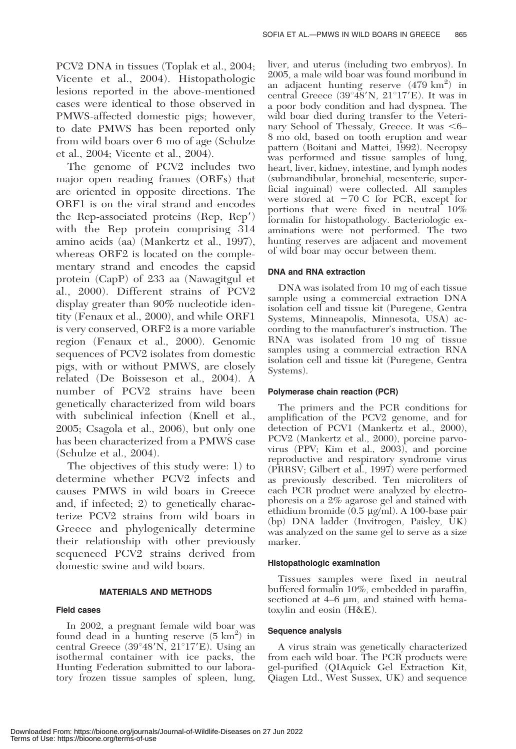PCV2 DNA in tissues (Toplak et al., 2004; Vicente et al., 2004). Histopathologic lesions reported in the above-mentioned cases were identical to those observed in PMWS-affected domestic pigs; however, to date PMWS has been reported only from wild boars over 6 mo of age (Schulze et al., 2004; Vicente et al., 2004).

The genome of PCV2 includes two major open reading frames (ORFs) that are oriented in opposite directions. The ORF1 is on the viral strand and encodes the Rep-associated proteins  $(\text{Rep}, \text{Rep}')$ with the Rep protein comprising 314 amino acids (aa) (Mankertz et al., 1997), whereas ORF2 is located on the complementary strand and encodes the capsid protein (CapP) of 233 aa (Nawagitgul et al., 2000). Different strains of PCV2 display greater than 90% nucleotide identity (Fenaux et al., 2000), and while ORF1 is very conserved, ORF2 is a more variable region (Fenaux et al., 2000). Genomic sequences of PCV2 isolates from domestic pigs, with or without PMWS, are closely related (De Boisseson et al., 2004). A number of PCV2 strains have been genetically characterized from wild boars with subclinical infection (Knell et al., 2005; Csagola et al., 2006), but only one has been characterized from a PMWS case (Schulze et al., 2004).

The objectives of this study were: 1) to determine whether PCV2 infects and causes PMWS in wild boars in Greece and, if infected; 2) to genetically characterize PCV2 strains from wild boars in Greece and phylogenically determine their relationship with other previously sequenced PCV2 strains derived from domestic swine and wild boars.

#### MATERIALS AND METHODS

#### Field cases

In 2002, a pregnant female wild boar was found dead in a hunting reserve  $(5 \text{ km}^2)$  in central Greece  $(39^{\circ}48'N, 21^{\circ}17'E)$ . Using an isothermal container with ice packs, the Hunting Federation submitted to our laboratory frozen tissue samples of spleen, lung,

liver, and uterus (including two embryos). In 2005, a male wild boar was found moribund in an adjacent hunting reserve (479 km<sup>2</sup>) in central Greece  $(39^{\circ}48'N, 21^{\circ}17'E)$ . It was in a poor body condition and had dyspnea. The wild boar died during transfer to the Veterinary School of Thessaly, Greece. It was  $\leq 6-$ 8 mo old, based on tooth eruption and wear pattern (Boitani and Mattei, 1992). Necropsy was performed and tissue samples of lung, heart, liver, kidney, intestine, and lymph nodes (submandibular, bronchial, mesenteric, superficial inguinal) were collected. All samples were stored at  $-70$  C for PCR, except for portions that were fixed in neutral 10% formalin for histopathology. Bacteriologic examinations were not performed. The two hunting reserves are adjacent and movement of wild boar may occur between them.

#### DNA and RNA extraction

DNA was isolated from 10 mg of each tissue sample using a commercial extraction DNA isolation cell and tissue kit (Puregene, Gentra Systems, Minneapolis, Minnesota, USA) according to the manufacturer's instruction. The RNA was isolated from 10 mg of tissue samples using a commercial extraction RNA isolation cell and tissue kit (Puregene, Gentra Systems).

#### Polymerase chain reaction (PCR)

The primers and the PCR conditions for amplification of the PCV2 genome, and for detection of PCV1 (Mankertz et al., 2000), PCV2 (Mankertz et al., 2000), porcine parvovirus (PPV; Kim et al., 2003), and porcine reproductive and respiratory syndrome virus (PRRSV; Gilbert et al., 1997) were performed as previously described. Ten microliters of each PCR product were analyzed by electrophoresis on a 2% agarose gel and stained with ethidium bromide  $(0.5 \text{ µg/ml})$ . A 100-base pair (bp) DNA ladder (Invitrogen, Paisley, UK) was analyzed on the same gel to serve as a size marker.

#### Histopathologic examination

Tissues samples were fixed in neutral buffered formalin 10%, embedded in paraffin, sectioned at  $4-6 \mu m$ , and stained with hematoxylin and eosin (H&E).

#### Sequence analysis

A virus strain was genetically characterized from each wild boar. The PCR products were gel-purified (QIAquick Gel Extraction Kit, Qiagen Ltd., West Sussex, UK) and sequence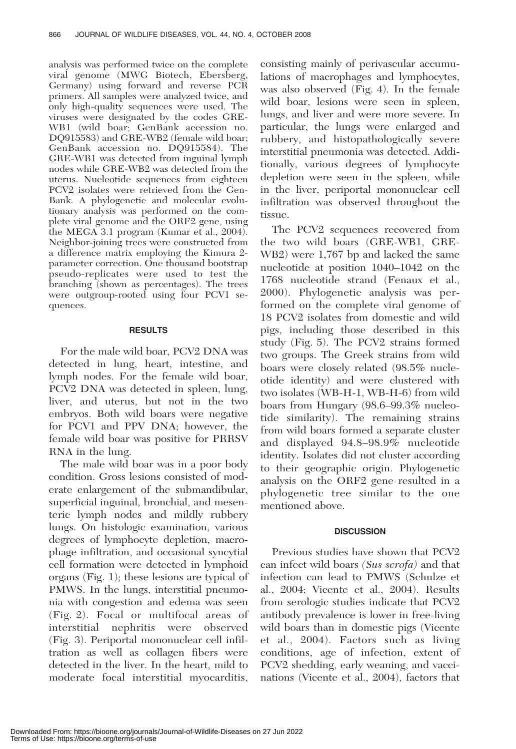analysis was performed twice on the complete viral genome (MWG Biotech, Ebersberg, Germany) using forward and reverse PCR primers. All samples were analyzed twice, and only high-quality sequences were used. The viruses were designated by the codes GRE-WB1 (wild boar; GenBank accession no. DQ915583) and GRE-WB2 (female wild boar; GenBank accession no. DQ915584). The GRE-WB1 was detected from inguinal lymph nodes while GRE-WB2 was detected from the uterus. Nucleotide sequences from eighteen PCV2 isolates were retrieved from the Gen-Bank. A phylogenetic and molecular evolutionary analysis was performed on the complete viral genome and the ORF2 gene, using the MEGA 3.1 program (Kumar et al., 2004). Neighbor-joining trees were constructed from a difference matrix employing the Kimura 2 parameter correction. One thousand bootstrap pseudo-replicates were used to test the branching (shown as percentages). The trees were outgroup-rooted using four PCV1 sequences.

### RESULTS

For the male wild boar, PCV2 DNA was detected in lung, heart, intestine, and lymph nodes. For the female wild boar, PCV2 DNA was detected in spleen, lung, liver, and uterus, but not in the two embryos. Both wild boars were negative for PCV1 and PPV DNA; however, the female wild boar was positive for PRRSV RNA in the lung.

The male wild boar was in a poor body condition. Gross lesions consisted of moderate enlargement of the submandibular, superficial inguinal, bronchial, and mesenteric lymph nodes and mildly rubbery lungs. On histologic examination, various degrees of lymphocyte depletion, macrophage infiltration, and occasional syncytial cell formation were detected in lymphoid organs (Fig. 1); these lesions are typical of PMWS. In the lungs, interstitial pneumonia with congestion and edema was seen (Fig. 2). Focal or multifocal areas of interstitial nephritis were observed (Fig. 3). Periportal mononuclear cell infiltration as well as collagen fibers were detected in the liver. In the heart, mild to moderate focal interstitial myocarditis,

consisting mainly of perivascular accumulations of macrophages and lymphocytes, was also observed (Fig. 4). In the female wild boar, lesions were seen in spleen, lungs, and liver and were more severe. In particular, the lungs were enlarged and rubbery, and histopathologically severe interstitial pneumonia was detected. Additionally, various degrees of lymphocyte depletion were seen in the spleen, while in the liver, periportal mononuclear cell infiltration was observed throughout the tissue.

The PCV2 sequences recovered from the two wild boars (GRE-WB1, GRE-WB2) were 1,767 bp and lacked the same nucleotide at position 1040–1042 on the 1768 nucleotide strand (Fenaux et al., 2000). Phylogenetic analysis was performed on the complete viral genome of 18 PCV2 isolates from domestic and wild pigs, including those described in this study (Fig. 5). The PCV2 strains formed two groups. The Greek strains from wild boars were closely related (98.5% nucleotide identity) and were clustered with two isolates (WB-H-1, WB-H-6) from wild boars from Hungary (98.6–99.3% nucleotide similarity). The remaining strains from wild boars formed a separate cluster and displayed 94.8–98.9% nucleotide identity. Isolates did not cluster according to their geographic origin. Phylogenetic analysis on the ORF2 gene resulted in a phylogenetic tree similar to the one mentioned above.

# **DISCUSSION**

Previous studies have shown that PCV2 can infect wild boars (Sus scrofa) and that infection can lead to PMWS (Schulze et al., 2004; Vicente et al., 2004). Results from serologic studies indicate that PCV2 antibody prevalence is lower in free-living wild boars than in domestic pigs (Vicente et al., 2004). Factors such as living conditions, age of infection, extent of PCV2 shedding, early weaning, and vaccinations (Vicente et al., 2004), factors that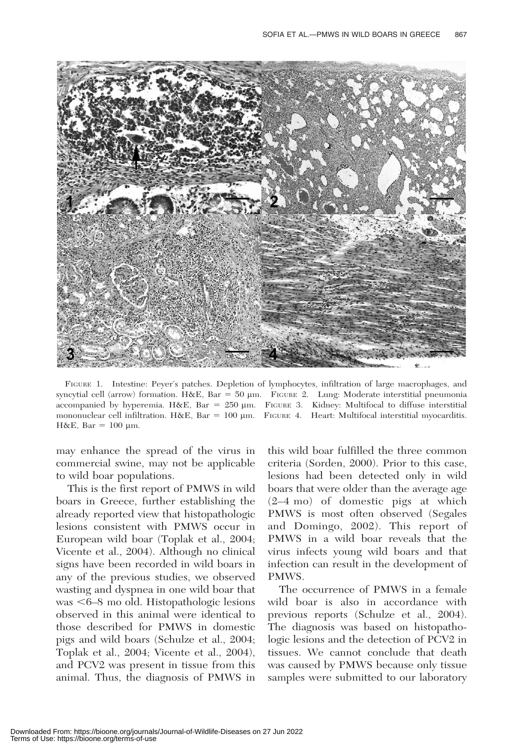

FIGURE 1. Intestine: Peyer's patches. Depletion of lymphocytes, infiltration of large macrophages, and syncytial cell (arrow) formation. H&E, Bar = 50 µm. FIGURE 2. Lung: Moderate interstitial pneumonia accompanied by hyperemia. H&E, Bar =  $250 \mu m$ . FIGURE 3. Kidney: Multifocal to diffuse interstitial mononuclear cell infiltration. H&E, Bar =  $100 \mu m$ . FIGURE 4. Heart: Multifocal interstitial myocarditis. H&E, Bar =  $100 \mu$ m.

may enhance the spread of the virus in commercial swine, may not be applicable to wild boar populations.

This is the first report of PMWS in wild boars in Greece, further establishing the already reported view that histopathologic lesions consistent with PMWS occur in European wild boar (Toplak et al., 2004; Vicente et al., 2004). Although no clinical signs have been recorded in wild boars in any of the previous studies, we observed wasting and dyspnea in one wild boar that was  $<6–8$  mo old. Histopathologic lesions observed in this animal were identical to those described for PMWS in domestic pigs and wild boars (Schulze et al., 2004; Toplak et al., 2004; Vicente et al., 2004), and PCV2 was present in tissue from this animal. Thus, the diagnosis of PMWS in this wild boar fulfilled the three common criteria (Sorden, 2000). Prior to this case, lesions had been detected only in wild boars that were older than the average age (2–4 mo) of domestic pigs at which PMWS is most often observed (Segales and Domingo, 2002). This report of PMWS in a wild boar reveals that the virus infects young wild boars and that infection can result in the development of PMWS.

The occurrence of PMWS in a female wild boar is also in accordance with previous reports (Schulze et al., 2004). The diagnosis was based on histopathologic lesions and the detection of PCV2 in tissues. We cannot conclude that death was caused by PMWS because only tissue samples were submitted to our laboratory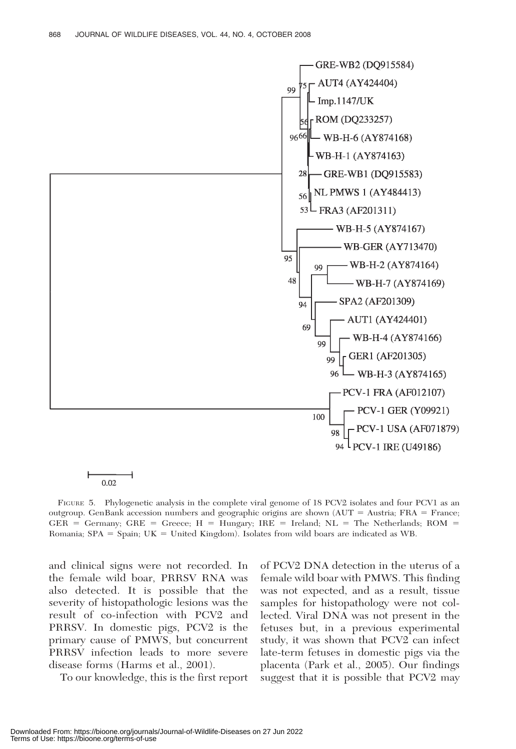

0.02

FIGURE 5. Phylogenetic analysis in the complete viral genome of 18 PCV2 isolates and four PCV1 as an outgroup. GenBank accession numbers and geographic origins are shown (AUT = Austria; FRA = France;  $GER = Germany$ ;  $GRE = Greece$ ;  $H = Hungary$ ;  $IRE = Ireland$ ;  $NL = The Netherlands$ ;  $ROM =$ Romania;  $SPA = Spain$ ;  $UK = United Kingdom)$ . Isolates from wild boars are indicated as WB.

and clinical signs were not recorded. In the female wild boar, PRRSV RNA was also detected. It is possible that the severity of histopathologic lesions was the result of co-infection with PCV2 and PRRSV. In domestic pigs, PCV2 is the primary cause of PMWS, but concurrent PRRSV infection leads to more severe disease forms (Harms et al., 2001).

To our knowledge, this is the first report

of PCV2 DNA detection in the uterus of a female wild boar with PMWS. This finding was not expected, and as a result, tissue samples for histopathology were not collected. Viral DNA was not present in the fetuses but, in a previous experimental study, it was shown that PCV2 can infect late-term fetuses in domestic pigs via the placenta (Park et al., 2005). Our findings suggest that it is possible that PCV2 may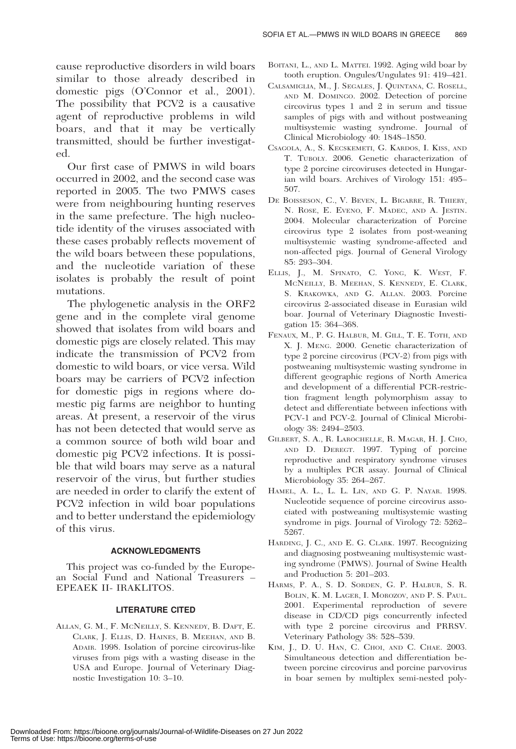cause reproductive disorders in wild boars similar to those already described in domestic pigs (O'Connor et al., 2001). The possibility that PCV2 is a causative agent of reproductive problems in wild boars, and that it may be vertically transmitted, should be further investigated.

Our first case of PMWS in wild boars occurred in 2002, and the second case was reported in 2005. The two PMWS cases were from neighbouring hunting reserves in the same prefecture. The high nucleotide identity of the viruses associated with these cases probably reflects movement of the wild boars between these populations, and the nucleotide variation of these isolates is probably the result of point mutations.

The phylogenetic analysis in the ORF2 gene and in the complete viral genome showed that isolates from wild boars and domestic pigs are closely related. This may indicate the transmission of PCV2 from domestic to wild boars, or vice versa. Wild boars may be carriers of PCV2 infection for domestic pigs in regions where domestic pig farms are neighbor to hunting areas. At present, a reservoir of the virus has not been detected that would serve as a common source of both wild boar and domestic pig PCV2 infections. It is possible that wild boars may serve as a natural reservoir of the virus, but further studies are needed in order to clarify the extent of PCV2 infection in wild boar populations and to better understand the epidemiology of this virus.

# ACKNOWLEDGMENTS

This project was co-funded by the European Social Fund and National Treasurers – EPEAEK II- IRAKLITOS.

# LITERATURE CITED

ALLAN, G. M., F. MCNEILLY, S. KENNEDY, B. DAFT, E. CLARK, J. ELLIS, D. HAINES, B. MEEHAN, AND B. ADAIR. 1998. Isolation of porcine circovirus-like viruses from pigs with a wasting disease in the USA and Europe. Journal of Veterinary Diagnostic Investigation 10: 3–10.

- BOITANI, L., AND L. MATTEI. 1992. Aging wild boar by tooth eruption. Ongules/Ungulates 91: 419–421.
- CALSAMIGLIA, M., J. SEGALES, J. QUINTANA, C. ROSELL, AND M. DOMINGO. 2002. Detection of porcine circovirus types 1 and 2 in serum and tissue samples of pigs with and without postweaning multisystemic wasting syndrome. Journal of Clinical Microbiology 40: 1848–1850.
- CSAGOLA, A., S. KECSKEMETI, G. KARDOS, I. KISS, AND T. TUBOLY. 2006. Genetic characterization of type 2 porcine circoviruses detected in Hungarian wild boars. Archives of Virology 151: 495– 507.
- DE BOISSESON, C., V. BEVEN, L. BIGARRE, R. THIERY, N. ROSE, E. EVENO, F. MADEC, AND A. JESTIN. 2004. Molecular characterization of Porcine circovirus type 2 isolates from post-weaning multisystemic wasting syndrome-affected and non-affected pigs. Journal of General Virology 85: 293–304.
- ELLIS, J., M. SPINATO, C. YONG, K. WEST, F. MCNEILLY, B. MEEHAN, S. KENNEDY, E. CLARK, S. KRAKOWKA, AND G. ALLAN. 2003. Porcine circovirus 2-associated disease in Eurasian wild boar. Journal of Veterinary Diagnostic Investigation 15: 364–368.
- FENAUX, M., P. G. HALBUR, M. GILL, T. E. TOTH, AND X. J. MENG. 2000. Genetic characterization of type 2 porcine circovirus (PCV-2) from pigs with postweaning multisystemic wasting syndrome in different geographic regions of North America and development of a differential PCR-restriction fragment length polymorphism assay to detect and differentiate between infections with PCV-1 and PCV-2. Journal of Clinical Microbiology 38: 2494–2503.
- GILBERT, S. A., R. LAROCHELLE, R. MAGAR, H. J. CHO, AND D. DEREGT. 1997. Typing of porcine reproductive and respiratory syndrome viruses by a multiplex PCR assay. Journal of Clinical Microbiology 35: 264–267.
- HAMEL, A. L., L. L. LIN, AND G. P. NAYAR. 1998. Nucleotide sequence of porcine circovirus associated with postweaning multisystemic wasting syndrome in pigs. Journal of Virology 72: 5262– 5267.
- HARDING, J. C., AND E. G. CLARK. 1997. Recognizing and diagnosing postweaning multisystemic wasting syndrome (PMWS). Journal of Swine Health and Production 5: 201–203.
- HARMS, P. A., S. D. SORDEN, G. P. HALBUR, S. R. BOLIN, K. M. LAGER, I. MOROZOV, AND P. S. PAUL. 2001. Experimental reproduction of severe disease in CD/CD pigs concurrently infected with type 2 porcine circovirus and PRRSV. Veterinary Pathology 38: 528–539.
- KIM, J., D. U. HAN, C. CHOI, AND C. CHAE. 2003. Simultaneous detection and differentiation between porcine circovirus and porcine parvovirus in boar semen by multiplex semi-nested poly-